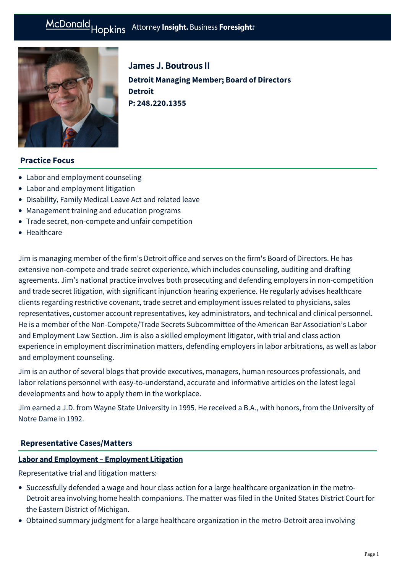# McDonald Hopkins Attorney Insight. Business Foresight:



James J. Boutrous II **Detroit Managing Member; Board of Directors Detroit P: [248.220.1355](tel:248.220.1355)**

# **Practice Focus**

- [Labor and employment counseling](https://mcdonaldhopkins.com/Expertise/Labor-and-employment/Labor-and-employment-counseling)
- [Labor and employment litigation](https://mcdonaldhopkins.com/Expertise/Labor-and-employment/Labor-and-employment-litigation)
- [Disability, Family Medical Leave Act and related leave](https://mcdonaldhopkins.com/Expertise/Labor-and-employment/Labor-and-employment-counseling/Disability,-Family-Medical-Leave-Act-and-related-l)
- [Management training and education programs](https://mcdonaldhopkins.com/Expertise/Labor-and-employment/Labor-and-employment-counseling/Management-training-and-education-programs)
- [Trade secret, non-compete and unfair competition](https://mcdonaldhopkins.com/Expertise/Litigation/Tradesecret-noncompete-unfair-competition)
- [Healthcare](https://mcdonaldhopkins.com/Expertise/Healthcare)

Jim is managing member of the firm's Detroit office and serves on the firm's Board of Directors. He has extensive non-compete and trade secret experience, which includes counseling, auditing and drafting agreements. Jim's national practice involves both prosecuting and defending employers in non-competition and trade secret litigation, with significant injunction hearing experience. He regularly advises healthcare clients regarding restrictive covenant, trade secret and employment issues related to physicians, sales representatives, customer account representatives, key administrators, and technical and clinical personnel. He is a member of the Non-Compete/Trade Secrets Subcommittee of the American Bar Association's Labor and Employment Law Section. Jim is also a skilled employment litigator, with trial and class action experience in employment discrimination matters, defending employers in labor arbitrations, as well as labor and employment counseling.

Jim is an author of several blogs that provide executives, managers, human resources professionals, and labor relations personnel with easy-to-understand, accurate and informative articles on the latest legal developments and how to apply them in the workplace.

Jim earned a J.D. from Wayne State University in 1995. He received a B.A., with honors, from the University of Notre Dame in 1992.

# **[Representative Cases/Matters](#page-0-0)**

#### <span id="page-0-0"></span>Labor and Employment – Employment Litigation

Representative trial and litigation matters:

- Successfully defended a wage and hour class action for a large healthcare organization in the metro-Detroit area involving home health companions. The matter was filed in the United States District Court for the Eastern District of Michigan.
- Obtained summary judgment for a large healthcare organization in the metro-Detroit area involving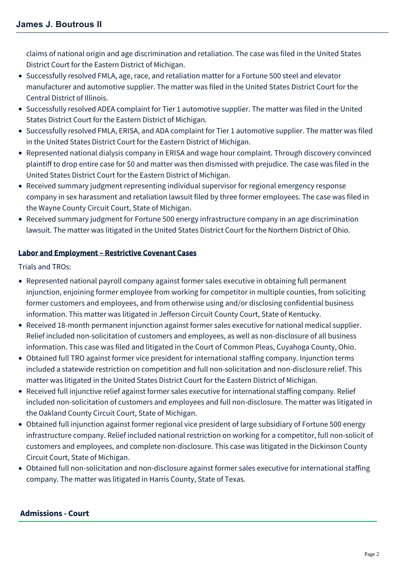claims of national origin and age discrimination and retaliation. The case was filed in the United States District Court for the Eastern District of Michigan.

- Successfully resolved FMLA, age, race, and retaliation matter for a Fortune 500 steel and elevator manufacturer and automotive supplier. The matter was filed in the United States District Court for the Central District of Illinois.
- Successfully resolved ADEA complaint for Tier 1 automotive supplier. The matter was filed in the United States District Court for the Eastern District of Michigan.
- Successfully resolved FMLA, ERISA, and ADA complaint for Tier 1 automotive supplier. The matter was filed in the United States District Court for the Eastern District of Michigan.
- Represented national dialysis company in ERISA and wage hour complaint. Through discovery convinced plaintiff to drop entire case for \$0 and matter was then dismissed with prejudice. The case was filed in the United States District Court for the Eastern District of Michigan.
- Received summary judgment representing individual supervisor for regional emergency response company in sex harassment and retaliation lawsuit filed by three former employees. The case was filed in the Wayne County Circuit Court, State of Michigan.
- Received summary judgment for Fortune 500 energy infrastructure company in an age discrimination lawsuit. The matter was litigated in the United States District Court for the Northern District of Ohio.

# Labor and Employment – Restrictive Covenant Cases

Trials and TROs:

- Represented national payroll company against former sales executive in obtaining full permanent injunction, enjoining former employee from working for competitor in multiple counties, from soliciting former customers and employees, and from otherwise using and/or disclosing confidential business information. This matter was litigated in Jefferson Circuit County Court, State of Kentucky.
- Received 18-month permanent injunction against former sales executive for national medical supplier. Relief included non-solicitation of customers and employees, as well as non-disclosure of all business information. This case was filed and litigated in the Court of Common Pleas, Cuyahoga County, Ohio.
- Obtained full TRO against former vice president for international staffing company. Injunction terms included a statewide restriction on competition and full non-solicitation and non-disclosure relief. This matter was litigated in the United States District Court for the Eastern District of Michigan.
- Received full injunctive relief against former sales executive for international staffing company. Relief included non-solicitation of customers and employees and full non-disclosure. The matter was litigated in the Oakland County Circuit Court, State of Michigan.
- Obtained full injunction against former regional vice president of large subsidiary of Fortune 500 energy infrastructure company. Relief included national restriction on working for a competitor, full non-solicit of customers and employees, and complete non-disclosure. This case was litigated in the Dickinson County Circuit Court, State of Michigan.
- Obtained full non-solicitation and non-disclosure against former sales executive for international staffing company. The matter was litigated in Harris County, State of Texas.

# **Admissions - Court**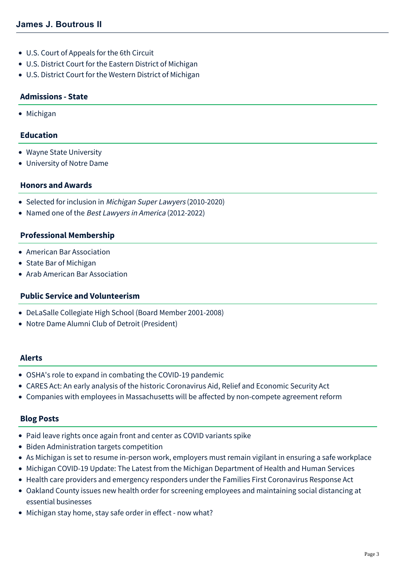- U.S. Court of Appeals for the 6th Circuit
- U.S. District Court for the Eastern District of Michigan
- U.S. District Court for the Western District of Michigan

## **Admissions - State**

• Michigan

## **Education**

- Wayne State University
- University of Notre Dame

#### **Honors and Awards**

- Selected for inclusion in [Michigan Super Lawyers](http://www.superlawyers.com/michigan/lawyer/James-J-Boutrous-II/27b26f6c-7900-4f35-9f13-61022d361c8d.html) (2010-2020)
- Named one of the Best Lawyers in America (2012-2022)

#### **Professional Membership**

- American Bar Association
- State Bar of Michigan
- Arab American Bar Association

# **Public Service and Volunteerism**

- DeLaSalle Collegiate High School (Board Member 2001-2008)
- Notre Dame Alumni Club of Detroit (President)

#### **Alerts**

- [OSHA's role to expand in combating the COVID-19 pandemic](https://mcdonaldhopkins.com/Insights/February-2021/OSHAs-role-to-expand-in-combating-the-COVID-19-pan)
- [CARES Act: An early analysis of the historic Coronavirus Aid, Relief and Economic Security Act](https://mcdonaldhopkins.com/Insights/March-2020/CARES-ACT-overview)
- [Companies with employees in Massachusetts will be affected by non-compete agreement reform](https://mcdonaldhopkins.com/Insights/August-2018/Companies-with-employees-in-Massachusetts-will-be)

#### **Blog Posts**

- [Paid leave rights once again front and center as COVID variants spike](https://mcdonaldhopkins.com/Insights/September-2021/Paid-leave-rights-once-again-front-and-center-as-C)
- [Biden Administration targets competition](https://mcdonaldhopkins.com/Insights/July-2021/Biden-Administration-targets-competition)
- [As Michigan is set to resume in-person work, employers must remain vigilant in ensuring a safe workplace](https://mcdonaldhopkins.com/Insights/May-2021/As-Michigan-is-set-to-resume-in-person-work-employ)
- [Michigan COVID-19 Update: The Latest from the Michigan Department of Health and Human Services](https://mcdonaldhopkins.com/Insights/November-2020/Michigan-COVID-19-Update-The-Latest-from-the-Michi)
- [Health care providers and emergency responders under the Families First Coronavirus Response Act](https://mcdonaldhopkins.com/Insights/March-2020/Health-care-providers-and-emergency-responders-und)
- [Oakland County issues new health order for screening employees and maintaining social distancing at](https://mcdonaldhopkins.com/Insights/March-2020/Oakland-County-issues-new-health-order-for-screeni) essential businesses
- [Michigan stay home, stay safe order in effect now what?](https://mcdonaldhopkins.com/Insights/March-2020/Michigan-stay-home-stay-safe-order-in-effect-now-w)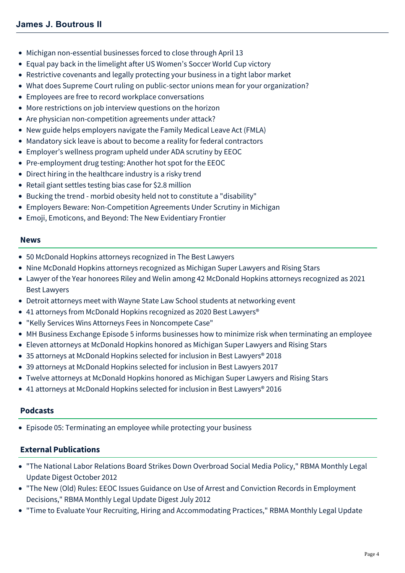- [Michigan non-essential businesses forced to close through April 13](https://mcdonaldhopkins.com/Insights/March-2020/Michigan-non-essential-businesses-forced-to-close)
- [Equal pay back in the limelight after US Women's Soccer World Cup victory](https://mcdonaldhopkins.com/Insights/July-2019/Equal-pay-back-in-the-limelight-after-US-Womens-So)
- [Restrictive covenants and legally protecting your business in a tight labor market](https://mcdonaldhopkins.com/Insights/February-2019/Restrictive-covenants-and-legally-protecting-your)
- [What does Supreme Court ruling on public-sector unions mean for your organization?](https://mcdonaldhopkins.com/Insights/June-2018/What-does-Supreme-Court-ruling-on-public-sector-un)
- [Employees are free to record workplace conversations](https://mcdonaldhopkins.com/Insights/August-2017/Employees-are-free-to-record-workplace-conversatio)
- [More restrictions on job interview questions on the horizon](https://mcdonaldhopkins.com/Insights/July-2017/More-restrictions-on-job-interview-questions-on-th)
- [Are physician non-competition agreements under attack?](https://mcdonaldhopkins.com/Insights/August-2016/Are-physician-non-competition-agreements-under-att)
- [New guide helps employers navigate the Family Medical Leave Act \(FMLA\)](https://mcdonaldhopkins.com/Insights/May-2016/New-guide-helps-employers-navigate-the-Family-Medi)
- [Mandatory sick leave is about to become a reality for federal contractors](https://mcdonaldhopkins.com/Insights/March-2016/Mandatory-sick-leave-is-about-to-become-a-reality)
- [Employer's wellness program upheld under ADA scrutiny by EEOC](https://mcdonaldhopkins.com/Insights/January-2016/Employer%E2%80%99s-wellness-program-upheld-under-ADA-scrut)
- [Pre-employment drug testing: Another hot spot for the EEOC](https://mcdonaldhopkins.com/Insights/December-2015/Pre-employment-drug-testing-Another-hot-spot-for)
- [Direct hiring in the healthcare industry is a risky trend](https://mcdonaldhopkins.com/Insights/October-2015/Direct-hiring-in-the-healthcare-industry-is-a-risk)
- [Retail giant settles testing bias case for \\$2.8 million](https://mcdonaldhopkins.com/Insights/August-2015/Retail-giant-settles-testing-bias-case)
- [Bucking the trend morbid obesity held not to constitute a "disability"](https://mcdonaldhopkins.com/Insights/June-2015/Bucking-the-trend-morbid-obesity-held-not-to-con)
- [Employers Beware: Non-Competition Agreements Under Scrutiny in Michigan](https://mcdonaldhopkins.com/Insights/April-2015/Employers-Beware-Non-Competition-Agreements-Under)
- [Emoji, Emoticons, and Beyond: The New Evidentiary Frontier](https://mcdonaldhopkins.com/Insights/Febrary-2015/Emoji,-Emoticons,-and-Beyond-The-New-Evidentiary)

#### **News**

- [50 McDonald Hopkins attorneys recognized in The Best Lawyers](https://mcdonaldhopkins.com/Insights/August-2021/50-McDonald-Hopkins-attorneys-recognized-in-The-Be)
- [Nine McDonald Hopkins attorneys recognized as Michigan Super Lawyers and Rising Stars](https://mcdonaldhopkins.com/Insights/September-2020/Nine-McDonald-Hopkins-attorneys-recognized-as-Mich)
- [Lawyer of the Year honorees Riley and Welin among 42 McDonald Hopkins attorneys recognized as 2021](https://mcdonaldhopkins.com/Insights/August-2020/Lawyer-of-the-Year-honorees-Riley-and-Welin-among) Best Lawyers
- [Detroit attorneys meet with Wayne State Law School students at networking event](https://mcdonaldhopkins.com/Insights/September-2019/Detroit-attorneys-meet-with-Wayne-State-Law-School)
- [41 attorneys from McDonald Hopkins recognized as 2020 Best Lawyers®](https://mcdonaldhopkins.com/Insights/August-2019/40-attorneys-from-McDonald-Hopkins-recognized-as-2)
- ["Kelly Services Wins Attorneys Fees in Noncompete Case"](https://mcdonaldhopkins.com/Insights/January-2019/Kelly-Services-Wins-Attorneys-Fees-in-Noncompete-C)
- [MH Business Exchange Episode 5 informs businesses how to minimize risk when terminating an employee](https://mcdonaldhopkins.com/Insights/January-2018/MH-Business-Exchange-Episode-5-informs-businesses)
- [Eleven attorneys at McDonald Hopkins honored as Michigan Super Lawyers and Rising Stars](https://mcdonaldhopkins.com/Insights/September-2017/Eleven-attorneys-at-McDonald-Hopkins-honored-a-(1))
- [35 attorneys at McDonald Hopkins selected for inclusion in Best Lawyers® 2018](https://mcdonaldhopkins.com/Insights/August-2017/35-attorneys-at-McDonald-Hopkins-selected-for-incl)
- [39 attorneys at McDonald Hopkins selected for inclusion in Best Lawyers 2017](https://mcdonaldhopkins.com/Insights/August-2016/39-attorneys-at-McDonald-Hopkins-selected-for-incl)
- [Twelve attorneys at McDonald Hopkins honored as Michigan Super Lawyers and Rising Stars](https://mcdonaldhopkins.com/Insights/September-2015/Twelve-attorneys-at-McDonald-Hopkins-honored-as-Mi)
- 41 attorneys at McDonald Hopkins selected for inclusion in Best Lawyers<sup>®</sup> 2016

# **Podcasts**

[Episode 05: Terminating an employee while protecting your business](https://mcdonaldhopkins.com/Insights/January-2018/Episode-5-Terminating-an-employee-while-protecting)

# **External Publications**

- "The National Labor Relations Board Strikes Down Overbroad Social Media Policy," RBMA Monthly Legal Update Digest October 2012
- "The New (Old) Rules: EEOC Issues Guidance on Use of Arrest and Conviction Records in Employment Decisions," RBMA Monthly Legal Update Digest July 2012
- "Time to Evaluate Your Recruiting, Hiring and Accommodating Practices," RBMA Monthly Legal Update